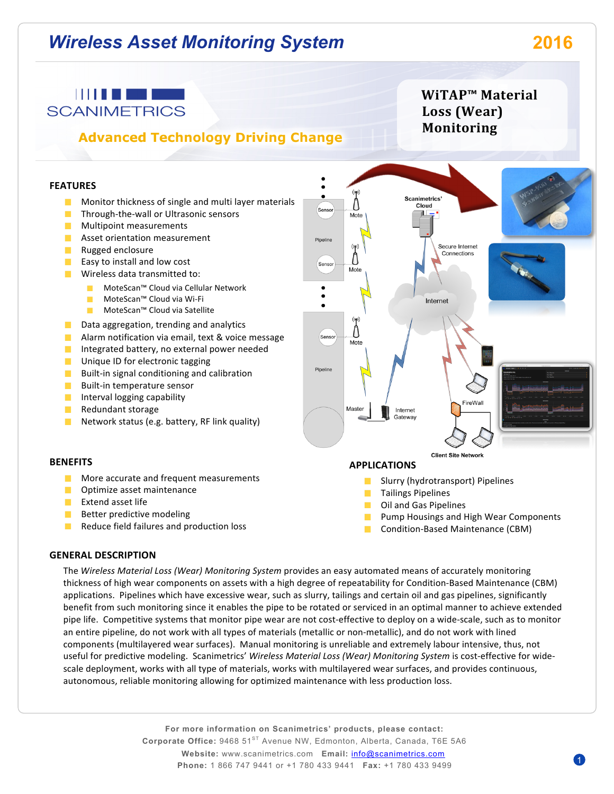# *Wireless Asset Monitoring System* **2016**

## **THE REPORT OF STATE SCANIMETRICS**

# **Advanced Technology Driving Change**

# **WiTAP™ Material**  Loss (Wear) **Monitoring**

#### **FEATURES**

- **Monitor thickness of single and multi layer materials**
- $\blacksquare$  Through-the-wall or Ultrasonic sensors
- **Multipoint measurements**
- **Asset orientation measurement**
- **Contract** Rugged enclosure
- **Contract** Easy to install and low cost
- $\blacksquare$  Wireless data transmitted to:
	- MoteScan™ Cloud via Cellular Network
	- **College** MoteScan™ Cloud via Wi-Fi
	- MoteScan™ Cloud via Satellite
- Data aggregation, trending and analytics **The Contract**
- **Alarm notification via email, text & voice message**
- **Contract** Integrated battery, no external power needed
- $\Box$  Unique ID for electronic tagging
- $\blacksquare$  Built-in signal conditioning and calibration
- **The Co** Built-in temperature sensor
- Interval logging capability  $\mathcal{L}_{\mathcal{A}}$
- **Contract** Redundant storage
- Network status (e.g. battery, RF link quality) **The Co**

#### **BENEFITS**

- $\blacksquare$  More accurate and frequent measurements
- **Optimize asset maintenance**
- $E$  Extend asset life
- $\blacksquare$  Better predictive modeling
- **The Contract of the Contract of the Contract of the Contract of the Contract of the Contract of the Contract o** Reduce field failures and production loss

Scanimetrics' Cloud Mote Secure Internet Connections Mote Internet Mote Maste Internet Gateway **Client Site Network** 

#### **APPLICATIONS**

**The Contract of the Contract of the Contract of the Contract of the Contract of the Contract of the Contract o** Slurry (hydrotransport) Pipelines

- **Tailings Pipelines**
- **The State** Oil and Gas Pipelines
- **Pump Housings and High Wear Components**
- Condition-Based Maintenance (CBM) **College**

#### **GENERAL DESCRIPTION**

The *Wireless Material Loss (Wear) Monitoring System* provides an easy automated means of accurately monitoring thickness of high wear components on assets with a high degree of repeatability for Condition-Based Maintenance (CBM) applications. Pipelines which have excessive wear, such as slurry, tailings and certain oil and gas pipelines, significantly benefit from such monitoring since it enables the pipe to be rotated or serviced in an optimal manner to achieve extended pipe life. Competitive systems that monitor pipe wear are not cost-effective to deploy on a wide-scale, such as to monitor an entire pipeline, do not work with all types of materials (metallic or non-metallic), and do not work with lined components (multilayered wear surfaces). Manual monitoring is unreliable and extremely labour intensive, thus, not useful for predictive modeling. Scanimetrics' Wireless Material Loss (Wear) Monitoring System is cost-effective for widescale deployment, works with all type of materials, works with multilayered wear surfaces, and provides continuous, autonomous, reliable monitoring allowing for optimized maintenance with less production loss.

Sensor

Pipeline

Senso

Sensor

Pipeline

**For more information on Scanimetrics' products, please contact: Corporate Office:** 9468 51<sup>ST</sup> Avenue NW, Edmonton, Alberta, Canada, T6E 5A6 **Website:** www.scanimetrics.com **Email:** info@scanimetrics.com **Phone:** 1 866 747 9441 or +1 780 433 9441 **Fax:** +1 780 433 9499